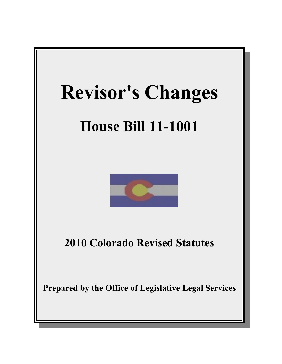

# **House Bill 11-1001**



**2010 Colorado Revised Statutes**

**Prepared by the Office of Legislative Legal Services**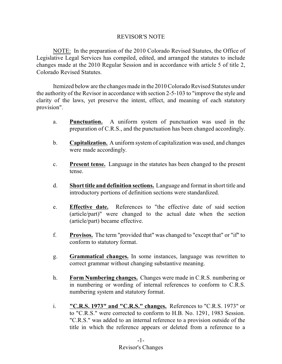## REVISOR'S NOTE

NOTE: In the preparation of the 2010 Colorado Revised Statutes, the Office of Legislative Legal Services has compiled, edited, and arranged the statutes to include changes made at the 2010 Regular Session and in accordance with article 5 of title 2, Colorado Revised Statutes.

Itemized below are the changes made in the 2010 Colorado Revised Statutes under the authority of the Revisor in accordance with section 2-5-103 to "improve the style and clarity of the laws, yet preserve the intent, effect, and meaning of each statutory provision".

- a. **Punctuation.** A uniform system of punctuation was used in the preparation of C.R.S., and the punctuation has been changed accordingly.
- b. **Capitalization.** A uniform system of capitalization was used, and changes were made accordingly.
- c. **Present tense.** Language in the statutes has been changed to the present tense.
- d. **Short title and definition sections.** Language and format in short title and introductory portions of definition sections were standardized.
- e. **Effective date.** References to "the effective date of said section (article/part)" were changed to the actual date when the section (article/part) became effective.
- f. **Provisos.** The term "provided that" was changed to "except that" or "if" to conform to statutory format.
- g. **Grammatical changes.** In some instances, language was rewritten to correct grammar without changing substantive meaning.
- h. **Form Numbering changes.** Changes were made in C.R.S. numbering or in numbering or wording of internal references to conform to C.R.S. numbering system and statutory format.
- i. **"C.R.S. 1973" and "C.R.S." changes.** References to "C.R.S. 1973" or to "C.R.S." were corrected to conform to H.B. No. 1291, 1983 Session. "C.R.S." was added to an internal reference to a provision outside of the title in which the reference appears or deleted from a reference to a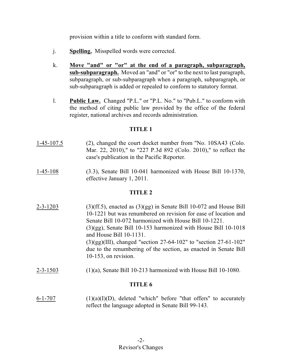provision within a title to conform with standard form.

- j. **Spelling.** Misspelled words were corrected.
- k. **Move "and" or "or" at the end of a paragraph, subparagraph, sub-subparagraph.** Moved an "and" or "or" to the next to last paragraph, subparagraph, or sub-subparagraph when a paragraph, subparagraph, or sub-subparagraph is added or repealed to conform to statutory format.
- l. **Public Law.** Changed "P.L." or "P.L. No." to "Pub.L." to conform with the method of citing public law provided by the office of the federal register, national archives and records administration.

## **TITLE 1**

- 1-45-107.5 (2), changed the court docket number from "No. 10SA43 (Colo. Mar. 22, 2010)," to "227 P.3d 892 (Colo. 2010)," to reflect the case's publication in the Pacific Reporter.
- 1-45-108 (3.3), Senate Bill 10-041 harmonized with House Bill 10-1370, effective January 1, 2011.

# **TITLE 2**

- 2-3-1203 (3)(ff.5), enacted as  $(3)(gg)$  in Senate Bill 10-072 and House Bill 10-1221 but was renumbered on revision for ease of location and Senate Bill 10-072 harmonized with House Bill 10-1221. (3)(gg), Senate Bill 10-153 harmonized with House Bill 10-1018 and House Bill 10-1131. (3)(gg)(III), changed "section 27-64-102" to "section 27-61-102" due to the renumbering of the section, as enacted in Senate Bill 10-153, on revision.
- $2-3-1503$  (1)(a), Senate Bill 10-213 harmonized with House Bill 10-1080.

# **TITLE 6**

6-1-707 (1)(a)(I)(D), deleted "which" before "that offers" to accurately reflect the language adopted in Senate Bill 99-143.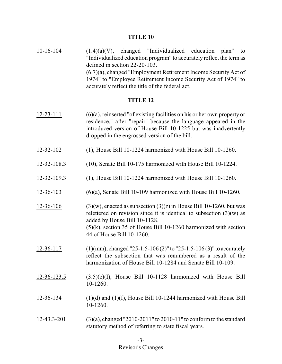$10-16-104$   $(1.4)(a)(V)$ , changed "Individualized education plan" to "Individualized education program" to accurately reflect the term as defined in section 22-20-103. (6.7)(a), changed "Employment Retirement Income Security Act of 1974" to "Employee Retirement Income Security Act of 1974" to accurately reflect the title of the federal act.

- 12-23-111 (6)(a), reinserted "of existing facilities on his or her own property or residence," after "repair" because the language appeared in the introduced version of House Bill 10-1225 but was inadvertently dropped in the engrossed version of the bill.
- 12-32-102 (1), House Bill 10-1224 harmonized with House Bill 10-1260.
- 12-32-108.3 (10), Senate Bill 10-175 harmonized with House Bill 10-1224.
- 12-32-109.3 (1), House Bill 10-1224 harmonized with House Bill 10-1260.
- 12-36-103 (6)(a), Senate Bill 10-109 harmonized with House Bill 10-1260.
- 12-36-106 (3)(w), enacted as subsection (3)(z) in House Bill 10-1260, but was relettered on revision since it is identical to subsection  $(3)(w)$  as added by House Bill 10-1128. (5)(k), section 35 of House Bill 10-1260 harmonized with section 44 of House Bill 10-1260.
- 12-36-117 (1)(mm), changed "25-1.5-106 (2)" to "25-1.5-106 (3)" to accurately reflect the subsection that was renumbered as a result of the harmonization of House Bill 10-1284 and Senate Bill 10-109.
- 12-36-123.5 (3.5)(e)(I), House Bill 10-1128 harmonized with House Bill 10-1260.
- 12-36-134 (1)(d) and (1)(f), House Bill 10-1244 harmonized with House Bill 10-1260.
- 12-43.3-201 (3)(a), changed "2010-2011" to 2010-11" to conformto the standard statutory method of referring to state fiscal years.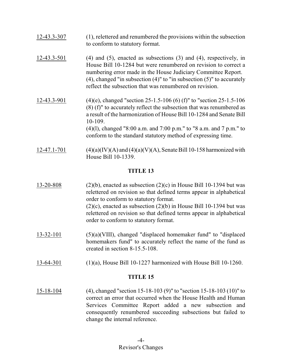| 12-43.3-307 | (1), relettered and renumbered the provisions within the subsection<br>to conform to statutory format.                                                                                                                                                                                                                                                                       |
|-------------|------------------------------------------------------------------------------------------------------------------------------------------------------------------------------------------------------------------------------------------------------------------------------------------------------------------------------------------------------------------------------|
| 12-43.3-501 | $(4)$ and $(5)$ , enacted as subsections $(3)$ and $(4)$ , respectively, in<br>House Bill 10-1284 but were renumbered on revision to correct a<br>numbering error made in the House Judiciary Committee Report.<br>$(4)$ , changed "in subsection $(4)$ " to "in subsection $(5)$ " to accurately<br>reflect the subsection that was renumbered on revision.                 |
| 12-43.3-901 | $(4)(e)$ , changed "section 25-1.5-106 (6) (f)" to "section 25-1.5-106<br>$(8)$ (f)" to accurately reflect the subsection that was renumbered as<br>a result of the harmonization of House Bill 10-1284 and Senate Bill<br>10-109.<br>$(4)(1)$ , changed "8:00 a.m. and 7:00 p.m." to "8 a.m. and 7 p.m." to<br>conform to the standard statutory method of expressing time. |
| 12-47.1-701 | $(4)(a)(IV)(A)$ and $(4)(a)(V)(A)$ , Senate Bill 10-158 harmonized with<br>House Bill 10-1339.                                                                                                                                                                                                                                                                               |

| 13-20-808 | $(2)(b)$ , enacted as subsection $(2)(c)$ in House Bill 10-1394 but was<br>relettered on revision so that defined terms appear in alphabetical                                                                                   |
|-----------|----------------------------------------------------------------------------------------------------------------------------------------------------------------------------------------------------------------------------------|
|           | order to conform to statutory format.<br>$(2)(c)$ , enacted as subsection $(2)(b)$ in House Bill 10-1394 but was<br>relettered on revision so that defined terms appear in alphabetical<br>order to conform to statutory format. |

- 13-32-101 (5)(a)(VIII), changed "displaced homemaker fund" to "displaced homemakers fund" to accurately reflect the name of the fund as created in section 8-15.5-108.
- 13-64-301 (1)(a), House Bill 10-1227 harmonized with House Bill 10-1260.

## **TITLE 15**

15-18-104 (4), changed "section 15-18-103 (9)" to "section 15-18-103 (10)" to correct an error that occurred when the House Health and Human Services Committee Report added a new subsection and consequently renumbered succeeding subsections but failed to change the internal reference.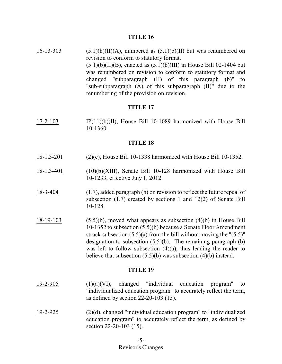16-13-303  $(5.1)(b)(II)(A)$ , numbered as  $(5.1)(b)(II)$  but was renumbered on revision to conform to statutory format.  $(5.1)(b)(II)(B)$ , enacted as  $(5.1)(b)(III)$  in House Bill 02-1404 but was renumbered on revision to conform to statutory format and changed "subparagraph (II) of this paragraph (b)" to "sub-subparagraph (A) of this subparagraph (II)" due to the renumbering of the provision on revision.

## **TITLE 17**

17-2-103 IP(11)(b)(II), House Bill 10-1089 harmonized with House Bill 10-1360.

#### **TITLE 18**

- 18-1.3-201 (2)(c), House Bill 10-1338 harmonized with House Bill 10-1352.
- 18-1.3-401 (10)(b)(XIII), Senate Bill 10-128 harmonized with House Bill 10-1233, effective July 1, 2012.
- 18-3-404 (1.7), added paragraph (b) on revision to reflect the future repeal of subsection (1.7) created by sections 1 and 12(2) of Senate Bill 10-128.
- 18-19-103 (5.5)(b), moved what appears as subsection (4)(b) in House Bill 10-1352 to subsection (5.5)(b) because a Senate Floor Amendment struck subsection  $(5.5)(a)$  from the bill without moving the " $(5.5)$ " designation to subsection (5.5)(b). The remaining paragraph (b) was left to follow subsection  $(4)(a)$ , thus leading the reader to believe that subsection (5.5)(b) was subsection (4)(b) instead.

- 19-2-905 (1)(a)(VI), changed "individual education program" to "individualized education program" to accurately reflect the term, as defined by section 22-20-103 (15).
- 19-2-925 (2)(d), changed "individual education program" to "individualized education program" to accurately reflect the term, as defined by section 22-20-103 (15).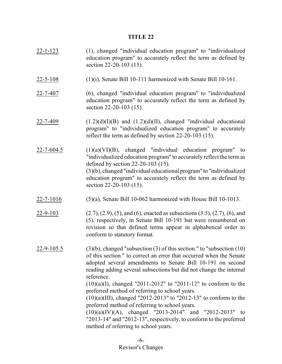- 22-1-123 (1), changed "individual education program" to "individualized education program" to accurately reflect the term as defined by section 22-20-103 (15).
- $22-5-108$  (1)(i), Senate Bill 10-111 harmonized with Senate Bill 10-161.
- 22-7-407 (6), changed "individual education program" to "individualized education program" to accurately reflect the term as defined by section 22-20-103 (15).
- 22-7-409  $(1.2)(d)(I)(B)$  and  $(1.2)(d)(II)$ , changed "individual educational program" to "individualized education program" to accurately reflect the term as defined by section 22-20-103 (15).
- $22$ -7-604.5 (1)(a)(VI)(B), changed "individual education program" to "individualized education program" to accurately reflect the term as defined by section 22-20-103 (15). (3)(b), changed "individual educational program" to "individualized education program" to accurately reflect the term as defined by section 22-20-103 (15).
- 22-7-1016 (5)(a), Senate Bill 10-062 harmonized with House Bill 10-1013.
- 22-9-103 (2.7), (2.9), (5), and (6), enacted as subsections (3.5), (2.7), (6), and (5), respectively, in Senate Bill 10-191 but were renumbered on revision so that defined terms appear in alphabetical order to conform to statutory format.
- 22-9-105.5 (3)(b), changed "subsection (3) of this section." to "subsection  $(10)$ of this section." to correct an error that occurred when the Senate adopted several amendments to Senate Bill 10-191 on second reading adding several subsections but did not change the internal reference.

 $(10)(a)(I)$ , changed "2011-2012" to "2011-12" to conform to the preferred method of referring to school years.

(10)(a)(III), changed "2012-2013" to "2012-13" to conform to the preferred method of referring to school years.

(10)(a)(IV)(A), changed "2013-2014" and "2012-2013" to "2013-14" and "2012-13", respectively, to conform to the preferred method of referring to school years.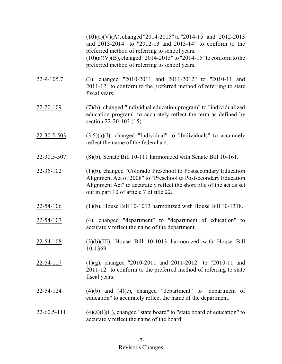(10)(a)(V)(A), changed "2014-2015" to "2014-15" and "2012-2013 and 2013-2014" to "2012-13 and 2013-14" to conform to the preferred method of referring to school years.  $(10)(a)(V)(B)$ , changed "2014-2015" to "2014-15" to conform to the preferred method of referring to school years.

- 22-9-105.7 (3), changed "2010-2011 and 2011-2012" to "2010-11 and 2011-12" to conform to the preferred method of referring to state fiscal years.
- 22-20-109 (7)(h), changed "individual education program" to "individualized education program" to accurately reflect the term as defined by section 22-20-103 (15).
- $22-30.5-503$   $(3.5)(a)(I)$ , changed "Individual" to "Individuals" to accurately reflect the name of the federal act.
- 22-30.5-507 (8)(b), Senate Bill 10-111 harmonized with Senate Bill 10-161.
- 22-35-102 (1)(b), changed "Colorado Preschool to Postsecondary Education Alignment Act of 2008" to "Preschool to Postsecondary Education Alignment Act" to accurately reflect the short title of the act as set out in part 10 of article 7 of title 22.
- 22-54-106 (1)(b), House Bill 10-1013 harmonized with House Bill 10-1318.
- 22-54-107 (4), changed "department" to "department of education" to accurately reflect the name of the department.
- 22-54-108 (3)(b)(III), House Bill 10-1013 harmonized with House Bill 10-1369.
- 22-54-117 (1)(g), changed "2010-2011 and 2011-2012" to "2010-11 and 2011-12" to conform to the preferred method of referring to state fiscal years.
- $22-54-124$  (4)(b) and (4)(c), changed "department" to "department of education" to accurately reflect the name of the department.
- 22-60.5-111  $(4)(a)(I)(C)$ , changed "state board" to "state board of education" to accurately reflect the name of the board.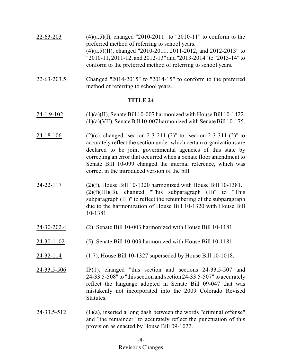| $22 - 63 - 203$ | $(4)(a.5)(I)$ , changed "2010-2011" to "2010-11" to conform to the |
|-----------------|--------------------------------------------------------------------|
|                 | preferred method of referring to school years.                     |
|                 | $(4)(a.5)(II)$ , changed "2010-2011, 2011-2012, and 2012-2013" to  |
|                 | "2010-11, 2011-12, and 2012-13" and "2013-2014" to "2013-14" to    |
|                 | conform to the preferred method of referring to school years.      |
|                 |                                                                    |

22-63-203.5 Changed "2014-2015" to "2014-15" to conform to the preferred method of referring to school years.

- 24-1.9-102 (1)(a)(II), Senate Bill 10-007 harmonized with House Bill 10-1422.  $(1)(a)(VII)$ , Senate Bill 10-007 harmonized with Senate Bill 10-175.
- 24-18-106 (2)(c), changed "section 2-3-211 (2)" to "section 2-3-311 (2)" to accurately reflect the section under which certain organizations are declared to be joint governmental agencies of this state by correcting an error that occurred when a Senate floor amendment to Senate Bill 10-099 changed the internal reference, which was correct in the introduced version of the bill.
- 24-22-117 (2)(f), House Bill 10-1320 harmonized with House Bill 10-1381.  $(2)(f)(III)(B)$ , changed "This subparagraph  $(II)$ " to "This subparagraph (III)" to reflect the renumbering of the subparagraph due to the harmonization of House Bill 10-1320 with House Bill 10-1381.
- 24-30-202.4 (2), Senate Bill 10-003 harmonized with House Bill 10-1181.
- 24-30-1102 (5), Senate Bill 10-003 harmonized with House Bill 10-1181.
- 24-32-114 (1.7), House Bill 10-1327 superseded by House Bill 10-1018.
- 24-33.5-506 IP(1), changed "this section and sections 24-33.5-507 and 24-33.5-508" to "this section and section 24-33.5-507" to accurately reflect the language adopted in Senate Bill 09-047 that was mistakenly not incorporated into the 2009 Colorado Revised Statutes.
- $24-33.5-512$  (1)(a), inserted a long dash between the words "criminal offense" and "the remainder" to accurately reflect the punctuation of this provision as enacted by House Bill 09-1022.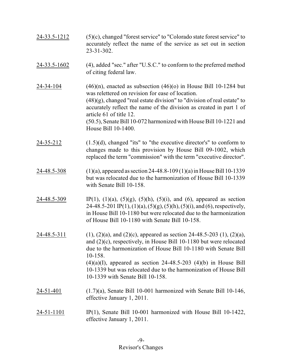- 24-33.5-1212 (5)(c), changed "forest service" to "Colorado state forest service" to accurately reflect the name of the service as set out in section 23-31-302.
- 24-33.5-1602 (4), added "sec." after "U.S.C." to conform to the preferred method of citing federal law.
- 24-34-104 (46)(n), enacted as subsection  $(46)(o)$  in House Bill 10-1284 but was relettered on revision for ease of location.  $(48)(g)$ , changed "real estate division" to "division of real estate" to accurately reflect the name of the division as created in part 1 of article 61 of title 12. (50.5), Senate Bill 10-072 harmonized with House Bill 10-1221 and House Bill 10-1400.
- 24-35-212 (1.5)(d), changed "its" to "the executive director's" to conform to changes made to this provision by House Bill 09-1002, which replaced the term "commission" with the term "executive director".
- 24-48.5-308 (1)(a), appeared as section 24-48.8-109 (1)(a) in HouseBill 10-1339 but was relocated due to the harmonization of House Bill 10-1339 with Senate Bill 10-158.
- $24-48.5-309$  IP(1), (1)(a), (5)(g), (5)(h), (5)(i), and (6), appeared as section 24-48.5-201 IP(1), (1)(a), (5)(g), (5)(h), (5)(i), and (6), respectively, in House Bill 10-1180 but were relocated due to the harmonization of House Bill 10-1180 with Senate Bill 10-158.
- 24-48.5-311 (1), (2)(a), and (2)(c), appeared as section 24-48.5-203 (1), (2)(a), and (2)(c), respectively, in House Bill 10-1180 but were relocated due to the harmonization of House Bill 10-1180 with Senate Bill 10-158.  $(4)(a)(I)$ , appeared as section 24-48.5-203  $(4)(b)$  in House Bill 10-1339 but was relocated due to the harmonization of House Bill 10-1339 with Senate Bill 10-158.
- 24-51-401 (1.7)(a), Senate Bill 10-001 harmonized with Senate Bill 10-146, effective January 1, 2011.
- 24-51-1101 IP(1), Senate Bill 10-001 harmonized with House Bill 10-1422, effective January 1, 2011.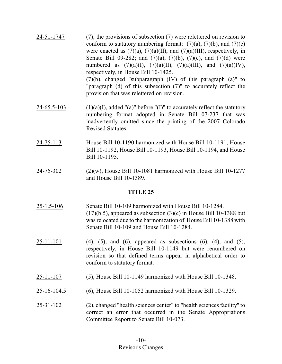- 24-51-1747 (7), the provisions of subsection (7) were relettered on revision to conform to statutory numbering format:  $(7)(a)$ ,  $(7)(b)$ , and  $(7)(c)$ were enacted as  $(7)(a)$ ,  $(7)(a)(II)$ , and  $(7)(a)(III)$ , respectively, in Senate Bill 09-282; and  $(7)(a)$ ,  $(7)(b)$ ,  $(7)(c)$ , and  $(7)(d)$  were numbered as  $(7)(a)(I)$ ,  $(7)(a)(II)$ ,  $(7)(a)(III)$ , and  $(7)(a)(IV)$ , respectively, in House Bill 10-1425. (7)(b), changed "subparagraph (IV) of this paragraph (a)" to "paragraph (d) of this subsection (7)" to accurately reflect the provision that was relettered on revision.
- 24-65.5-103 (1)(a)(I), added "(a)" before "(I)" to accurately reflect the statutory numbering format adopted in Senate Bill 07-237 that was inadvertently omitted since the printing of the 2007 Colorado Revised Statutes.
- 24-75-113 House Bill 10-1190 harmonized with House Bill 10-1191, House Bill 10-1192, House Bill 10-1193, House Bill 10-1194, and House Bill 10-1195.
- 24-75-302 (2)(w), House Bill 10-1081 harmonized with House Bill 10-1277 and House Bill 10-1389.

- 25-1.5-106 Senate Bill 10-109 harmonized with House Bill 10-1284.  $(17)(b.5)$ , appeared as subsection  $(3)(c)$  in House Bill 10-1388 but was relocated due to the harmonization of House Bill 10-1388 with Senate Bill 10-109 and House Bill 10-1284.
- $25-11-101$  (4), (5), and (6), appeared as subsections (6), (4), and (5), respectively, in House Bill 10-1149 but were renumbered on revision so that defined terms appear in alphabetical order to conform to statutory format.
- 25-11-107 (5), House Bill 10-1149 harmonized with House Bill 10-1348.
- 25-16-104.5 (6), House Bill 10-1052 harmonized with House Bill 10-1329.
- 25-31-102 (2), changed "health sciences center" to "health sciences facility" to correct an error that occurred in the Senate Appropriations Committee Report to Senate Bill 10-073.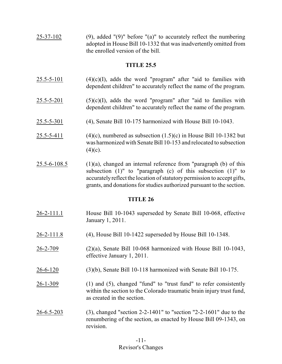25-37-102 (9), added "(9)" before "(a)" to accurately reflect the numbering adopted in House Bill 10-1332 that was inadvertently omitted from the enrolled version of the bill.

## **TITLE 25.5**

- $25.5 5 101$  (4)(c)(I), adds the word "program" after "aid to families with dependent children" to accurately reflect the name of the program.
- $25.5 5 201$  (5)(c)(I), adds the word "program" after "aid to families with dependent children" to accurately reflect the name of the program.
- 25.5-5-301 (4), Senate Bill 10-175 harmonized with House Bill 10-1043.
- 25.5-5-411 (4)(c), numbered as subsection  $(1.5)(c)$  in House Bill 10-1382 but was harmonized with Senate Bill 10-153 and relocated to subsection  $(4)(c)$ .
- $25.5-6-108.5$  (1)(a), changed an internal reference from "paragraph (b) of this subsection (1)" to "paragraph (c) of this subsection (1)" to accurately reflect the location of statutory permission to accept gifts, grants, and donations for studies authorized pursuant to the section.

- 26-2-111.1 House Bill 10-1043 superseded by Senate Bill 10-068, effective January 1, 2011.
- 26-2-111.8 (4), House Bill 10-1422 superseded by House Bill 10-1348.
- 26-2-709 (2)(a), Senate Bill 10-068 harmonized with House Bill 10-1043, effective January 1, 2011.
- 26-6-120 (3)(b), Senate Bill 10-118 harmonized with Senate Bill 10-175.
- 26-1-309 (1) and (5), changed "fund" to "trust fund" to refer consistently within the section to the Colorado traumatic brain injury trust fund, as created in the section.
- 26-6.5-203 (3), changed "section 2-2-1401" to "section "2-2-1601" due to the renumbering of the section, as enacted by House Bill 09-1343, on revision.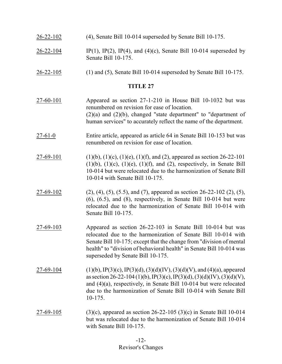- 26-22-102 (4), Senate Bill 10-014 superseded by Senate Bill 10-175.
- $26-22-104$  IP(1), IP(2), IP(4), and (4)(c), Senate Bill 10-014 superseded by Senate Bill 10-175.
- 26-22-105 (1) and (5), Senate Bill 10-014 superseded by Senate Bill 10-175.

- 27-60-101 Appeared as section 27-1-210 in House Bill 10-1032 but was renumbered on revision for ease of location. (2)(a) and (2)(b), changed "state department" to "department of human services" to accurately reflect the name of the department.
- 27-61-0 Entire article, appeared as article 64 in Senate Bill 10-153 but was renumbered on revision for ease of location.
- 27-69-101 (1)(b), (1)(c), (1)(e), (1)(f), and (2), appeared as section 26-22-101  $(1)(b)$ ,  $(1)(c)$ ,  $(1)(e)$ ,  $(1)(f)$ , and  $(2)$ , respectively, in Senate Bill 10-014 but were relocated due to the harmonization of Senate Bill 10-014 with Senate Bill 10-175.
- 27-69-102 (2), (4), (5), (5.5), and (7), appeared as section 26-22-102 (2), (5),  $(6)$ ,  $(6.5)$ , and  $(8)$ , respectively, in Senate Bill 10-014 but were relocated due to the harmonization of Senate Bill 10-014 with Senate Bill 10-175.
- 27-69-103 Appeared as section 26-22-103 in Senate Bill 10-014 but was relocated due to the harmonization of Senate Bill 10-014 with Senate Bill 10-175; except that the change from "division of mental health" to "division of behavioral health" in Senate Bill 10-014 was superseded by Senate Bill 10-175.
- $27-69-104$  (1)(b), IP(3)(c), IP(3)(d), (3)(d)(IV), (3)(d)(V), and (4)(a), appeared as section 26-22-104 (1)(b), IP(3)(c), IP(3)(d), (3)(d)(IV), (3)(d)(V), and (4)(a), respectively, in Senate Bill 10-014 but were relocated due to the harmonization of Senate Bill 10-014 with Senate Bill 10-175.
- 27-69-105 (3)(c), appeared as section 26-22-105 (3)(c) in Senate Bill 10-014 but was relocated due to the harmonization of Senate Bill 10-014 with Senate Bill 10-175.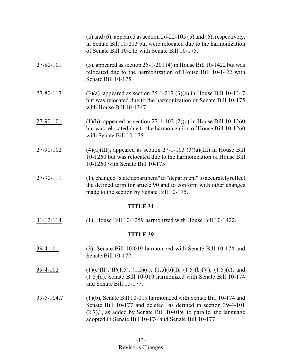|                 | $(5)$ and $(6)$ , appeared as section 26-22-105 $(5)$ and $(6)$ , respectively,<br>in Senate Bill 10-213 but were relocated due to the harmonization<br>of Senate Bill 10-213 with Senate Bill 10-175. |  |
|-----------------|--------------------------------------------------------------------------------------------------------------------------------------------------------------------------------------------------------|--|
| 27-80-101       | $(5)$ , appeared as section 25-1-201 $(4)$ in House Bill 10-1422 but was<br>relocated due to the harmonization of House Bill 10-1422 with<br>Senate Bill 10-175.                                       |  |
| 27-80-117       | $(3)(a)$ , appeared as section 25-1-217 $(3)(a)$ in House Bill 10-1347<br>but was relocated due to the harmonization of Senate Bill 10-175<br>with House Bill 10-1347.                                 |  |
| 27-90-101       | (1)(b), appeared as section 27-1-102 (2)(c) in House Bill 10-1260<br>but was relocated due to the harmonization of House Bill 10-1260<br>with Senate Bill 10-175.                                      |  |
| 27-90-102       | $(4)(a)(III)$ , appeared as section 27-1-103 $(3)(a)(III)$ in House Bill<br>10-1260 but was relocated due to the harmonization of House Bill<br>10-1260 with Senate Bill 10-175.                       |  |
| 27-90-111       | (1), changed "state department" to "department" to accurately reflect<br>the defined term for article 90 and to conform with other changes<br>made to the section by Senate Bill 10-175.               |  |
| <b>TITLE 31</b> |                                                                                                                                                                                                        |  |
| $31 - 12 - 114$ | $(1)$ , House Bill 10-1259 harmonized with House Bill 10-1422.                                                                                                                                         |  |
| <b>TITLE 39</b> |                                                                                                                                                                                                        |  |
| $39-4-101$      | (3), Senate Bill 10-019 harmonized with Senate Bill 10-174 and<br>Senate Bill 10-177.                                                                                                                  |  |
| 39-4-102        | $(1)(e)(II)$ , IP $(1.5)$ , $(1.5)(a)$ , $(1.5)(b)(I)$ , $(1.5)(b)(V)$ , $(1.5)(c)$ , and<br>$(1.5)(d)$ , Senate Bill 10-019 harmonized with Senate Bill 10-174<br>and Senate Bill 10-177.             |  |

39-5-104.7 (1)(b), Senate Bill 10-019 harmonized with Senate Bill 10-174 and Senate Bill 10-177 and deleted "as defined in section 39-4-101 (2.7),", as added by Senate Bill 10-019, to parallel the language adopted in Senate Bill 10-174 and Senate Bill 10-177.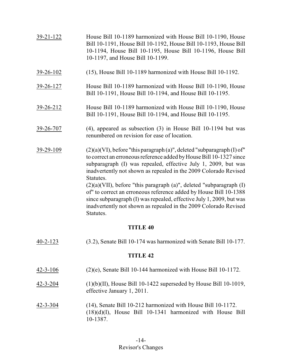| 39-21-122       | House Bill 10-1189 harmonized with House Bill 10-1190, House<br>Bill 10-1191, House Bill 10-1192, House Bill 10-1193, House Bill<br>10-1194, House Bill 10-1195, House Bill 10-1196, House Bill<br>10-1197, and House Bill 10-1199.                                                                                                                                                                                                                                                                                                                                                                                   |  |
|-----------------|-----------------------------------------------------------------------------------------------------------------------------------------------------------------------------------------------------------------------------------------------------------------------------------------------------------------------------------------------------------------------------------------------------------------------------------------------------------------------------------------------------------------------------------------------------------------------------------------------------------------------|--|
| 39-26-102       | (15), House Bill 10-1189 harmonized with House Bill 10-1192.                                                                                                                                                                                                                                                                                                                                                                                                                                                                                                                                                          |  |
|                 |                                                                                                                                                                                                                                                                                                                                                                                                                                                                                                                                                                                                                       |  |
| 39-26-127       | House Bill 10-1189 harmonized with House Bill 10-1190, House<br>Bill 10-1191, House Bill 10-1194, and House Bill 10-1195.                                                                                                                                                                                                                                                                                                                                                                                                                                                                                             |  |
| 39-26-212       | House Bill 10-1189 harmonized with House Bill 10-1190, House<br>Bill 10-1191, House Bill 10-1194, and House Bill 10-1195.                                                                                                                                                                                                                                                                                                                                                                                                                                                                                             |  |
| 39-26-707       | $(4)$ , appeared as subsection $(3)$ in House Bill 10-1194 but was<br>renumbered on revision for ease of location.                                                                                                                                                                                                                                                                                                                                                                                                                                                                                                    |  |
| 39-29-109       | $(2)(a)(VI)$ , before "this paragraph $(a)$ ", deleted "subparagraph $(I)$ of"<br>to correct an erroneous reference added by House Bill 10-1327 since<br>subparagraph (I) was repealed, effective July 1, 2009, but was<br>inadvertently not shown as repealed in the 2009 Colorado Revised<br>Statutes.<br>$(2)(a)(VII)$ , before "this paragraph $(a)$ ", deleted "subparagraph $(I)$<br>of" to correct an erroneous reference added by House Bill 10-1388<br>since subparagraph (I) was repealed, effective July 1, 2009, but was<br>inadvertently not shown as repealed in the 2009 Colorado Revised<br>Statutes. |  |
| <b>TITLE 40</b> |                                                                                                                                                                                                                                                                                                                                                                                                                                                                                                                                                                                                                       |  |
| $40 - 2 - 123$  | (3.2), Senate Bill 10-174 was harmonized with Senate Bill 10-177.                                                                                                                                                                                                                                                                                                                                                                                                                                                                                                                                                     |  |

| $42 - 3 - 106$ | $(2)(e)$ , Senate Bill 10-144 harmonized with House Bill 10-1172.                                                                           |
|----------------|---------------------------------------------------------------------------------------------------------------------------------------------|
| $42 - 3 - 204$ | $(1)(b)(II)$ , House Bill 10-1422 superseded by House Bill 10-1019,<br>effective January 1, 2011.                                           |
| $42 - 3 - 304$ | $(14)$ , Senate Bill 10-212 harmonized with House Bill 10-1172.<br>$(18)(d)(I)$ , House Bill 10-1341 harmonized with House Bill<br>10-1387. |